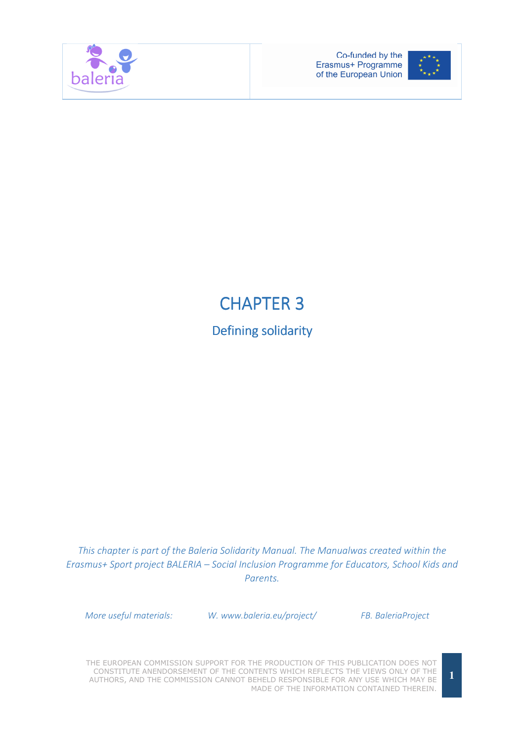



## **CHAPTER 3**

Defining solidarity

This chapter is part of the Baleria Solidarity Manual. The Manualwas created within the Erasmus+ Sport project BALERIA – Social Inclusion Programme for Educators, School Kids and Parents.

More useful materials: W. www.baleria.eu/project/ FB. BaleriaProject

THE EUROPEAN COMMISSION SUPPORT FOR THE PRODUCTION OF THIS PUBLICATION DOES NOT CONSTITUTE ANENDORSEMENT OF THE CONTENTS WHICH REFLECTS THE VIEWS ONLY OF THE AUTHORS, AND THE COMMISSION CANNOT BEHELD RESPONSIBLE FOR ANY USE WHICH MAY BE MADE OF THE INFORMATION CONTAINED THEREIN.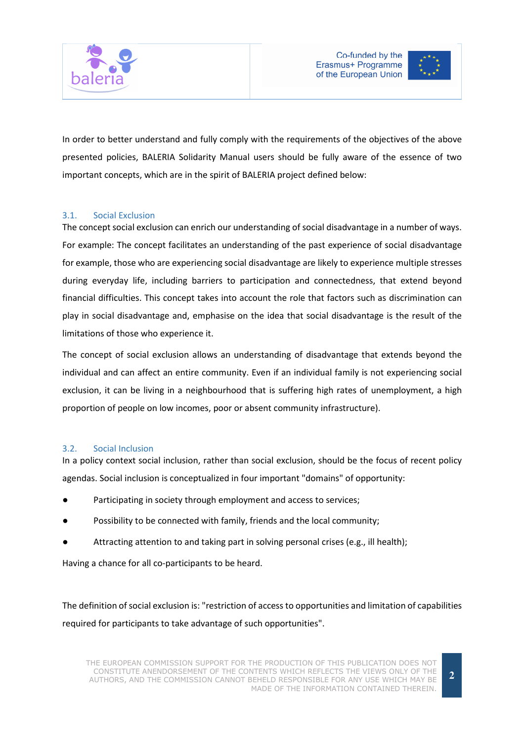





In order to better understand and fully comply with the requirements of the objectives of the above presented policies, BALERIA Solidarity Manual users should be fully aware of the essence of two important concepts, which are in the spirit of BALERIA project defined below:

## 3.1. Social Exclusion

The concept social exclusion can enrich our understanding of social disadvantage in a number of ways. For example: The concept facilitates an understanding of the past experience of social disadvantage for example, those who are experiencing social disadvantage are likely to experience multiple stresses during everyday life, including barriers to participation and connectedness, that extend beyond financial difficulties. This concept takes into account the role that factors such as discrimination can play in social disadvantage and, emphasise on the idea that social disadvantage is the result of the limitations of those who experience it.

The concept of social exclusion allows an understanding of disadvantage that extends beyond the individual and can affect an entire community. Even if an individual family is not experiencing social exclusion, it can be living in a neighbourhood that is suffering high rates of unemployment, a high proportion of people on low incomes, poor or absent community infrastructure).

## 3.2. Social Inclusion

In a policy context social inclusion, rather than social exclusion, should be the focus of recent policy agendas. Social inclusion is conceptualized in four important "domains" of opportunity:

- Participating in society through employment and access to services;
- Possibility to be connected with family, friends and the local community;
- Attracting attention to and taking part in solving personal crises (e.g., ill health);

Having a chance for all co-participants to be heard.

The definition of social exclusion is: "restriction of access to opportunities and limitation of capabilities required for participants to take advantage of such opportunities".